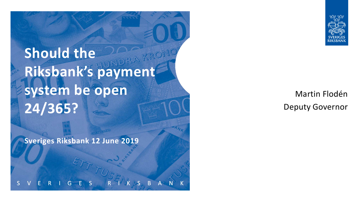**Should the**  Riksbank's bayment **system be open 24/365?**

**Sveriges Riksbank 12 June 2019**

Martin Flodén Deputy Governor

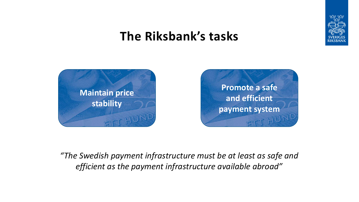

# **The Riksbank's tasks**



*"The Swedish payment infrastructure must be at least as safe and efficient as the payment infrastructure available abroad"*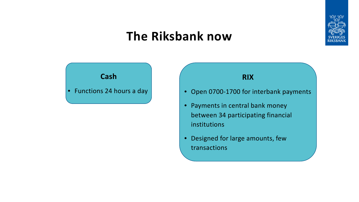

#### **The Riksbank now**





- Open 0700-1700 for interbank payments
- Payments in central bank money between 34 participating financial institutions
- Designed for large amounts, few transactions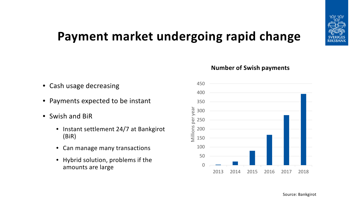

# **Payment market undergoing rapid change**

- Cash usage decreasing
- Payments expected to be instant
- Swish and BiR
	- Instant settlement 24/7 at Bankgirot (BiR)
	- Can manage many transactions
	- Hybrid solution, problems if the amounts are large

#### **Number of Swish payments**

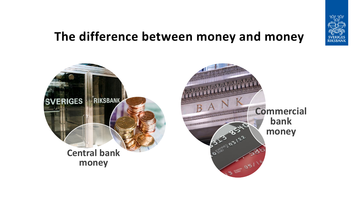

#### **The difference between money and money**

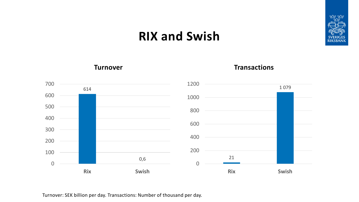#### **RIX and Swish**





#### **Turnover Transactions**



Turnover: SEK billion per day. Transactions: Number of thousand per day.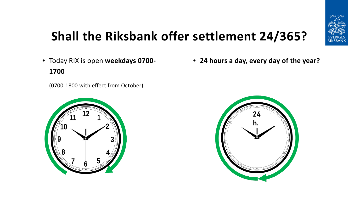

# **Shall the Riksbank offer settlement 24/365?**

• Today RIX is open **weekdays 0700- 1700**

(0700-1800 with effect from October)





• **24 hours a day, every day of the year?**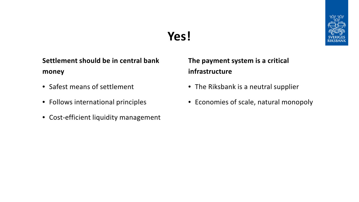### **Yes!**



**Settlement should be in central bank money**

- Safest means of settlement
- Follows international principles
- Cost-efficient liquidity management

**The payment system is a critical infrastructure**

- The Riksbank is a neutral supplier
- Economies of scale, natural monopoly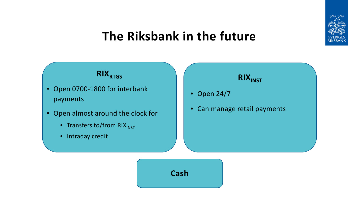

#### **The Riksbank in the future**



- Open 0700-1800 for interbank payments
- Open almost around the clock for
	- Transfers to/from RIX<sub>INST</sub>
	- Intraday credit

# **RIX**<sub>INST</sub>

- Open 24/7
- Can manage retail payments

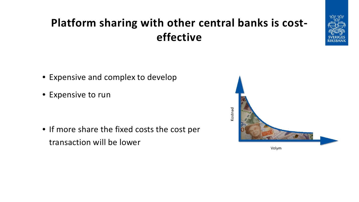# **Platform sharing with other central banks is costeffective**



- Expensive and complex to develop
- Expensive to run

• If more share the fixed costs the cost per transaction will be lower

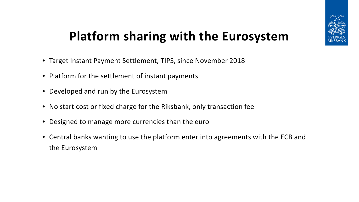

# **Platform sharing with the Eurosystem**

- Target Instant Payment Settlement, TIPS, since November 2018
- Platform for the settlement of instant payments
- Developed and run by the Eurosystem
- No start cost or fixed charge for the Riksbank, only transaction fee
- Designed to manage more currencies than the euro
- Central banks wanting to use the platform enter into agreements with the ECB and the Eurosystem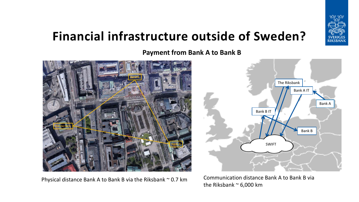

# **Financial infrastructure outside of Sweden?**

**Payment from Bank A to Bank B**



Physical distance Bank A to Bank B via the Riksbank ~ 0.7 km Communication distance Bank A to Bank B via



the Riksbank  $\sim$  6,000 km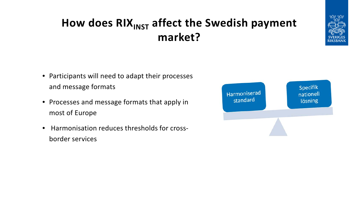### **How does RIX**<sub>INST</sub> affect the Swedish payment **market?**



- Participants will need to adapt their processes and message formats
- Processes and message formats that apply in most of Europe
- Harmonisation reduces thresholds for crossborder services